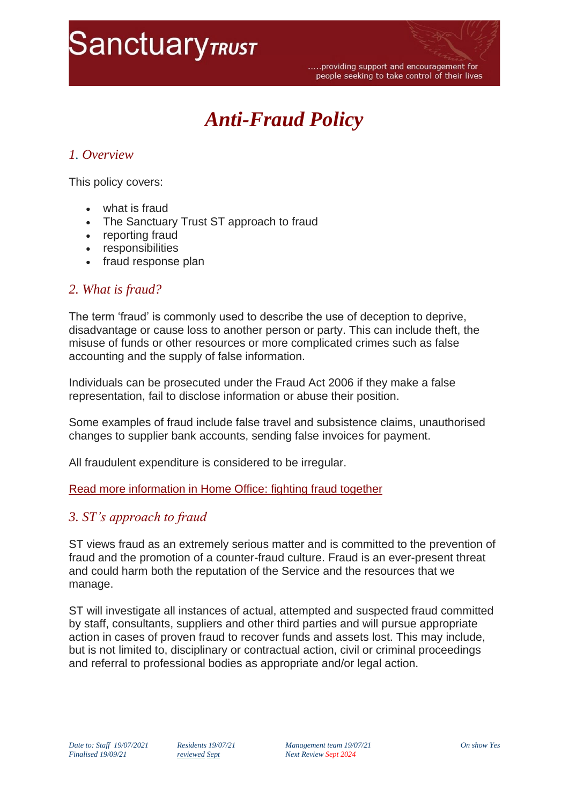# **SanctuaryTRUST**

# *Anti-Fraud Policy*

## *1. Overview*

This policy covers:

- what is fraud
- The Sanctuary Trust ST approach to fraud
- reporting fraud
- responsibilities
- fraud response plan

### *2. What is fraud?*

The term 'fraud' is commonly used to describe the use of deception to deprive, disadvantage or cause loss to another person or party. This can include theft, the misuse of funds or other resources or more complicated crimes such as false accounting and the supply of false information.

Individuals can be prosecuted under the Fraud Act 2006 if they make a false representation, fail to disclose information or abuse their position.

Some examples of fraud include false travel and subsistence claims, unauthorised changes to supplier bank accounts, sending false invoices for payment.

All fraudulent expenditure is considered to be irregular.

#### [Read more information in Home Office: fighting fraud together](https://assets.publishing.service.gov.uk/government/uploads/system/uploads/attachment_data/file/118501/fighting-fraud-together.pdf)

### *3. ST's approach to fraud*

ST views fraud as an extremely serious matter and is committed to the prevention of fraud and the promotion of a counter-fraud culture. Fraud is an ever-present threat and could harm both the reputation of the Service and the resources that we manage.

ST will investigate all instances of actual, attempted and suspected fraud committed by staff, consultants, suppliers and other third parties and will pursue appropriate action in cases of proven fraud to recover funds and assets lost. This may include, but is not limited to, disciplinary or contractual action, civil or criminal proceedings and referral to professional bodies as appropriate and/or legal action.

*Date to: Staff 19/07/2021 Residents 19/07/21 Management team 19/07/21 On show Yes*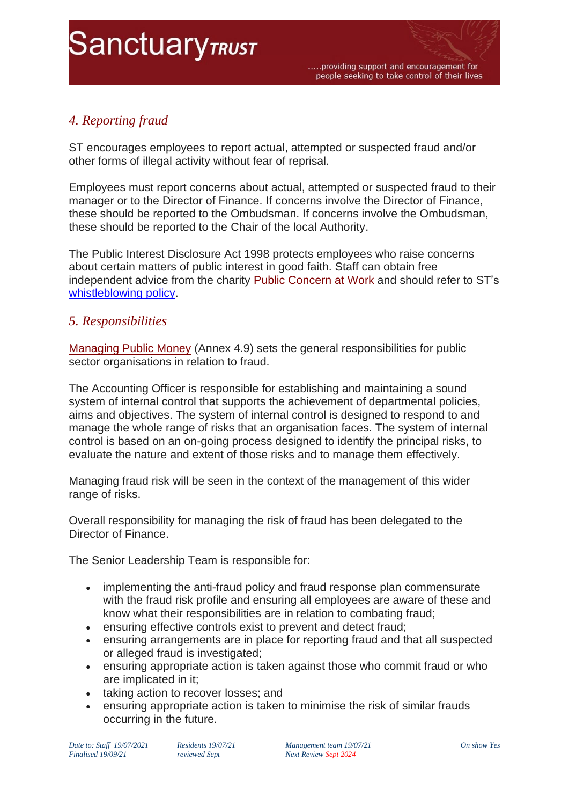# **SanctuaryTRUST**

# *4. Reporting fraud*

ST encourages employees to report actual, attempted or suspected fraud and/or other forms of illegal activity without fear of reprisal.

Employees must report concerns about actual, attempted or suspected fraud to their manager or to the Director of Finance. If concerns involve the Director of Finance, these should be reported to the Ombudsman. If concerns involve the Ombudsman, these should be reported to the Chair of the local Authority.

The Public Interest Disclosure Act 1998 protects employees who raise concerns about certain matters of public interest in good faith. Staff can obtain free independent advice from the charity [Public Concern at Work](http://www.pcaw.org.uk/) and should refer to ST's [whistleblowing policy.](https://sanctuarytrust.org.uk/wp-content/uploads/2021/07/33-whistle-blowing-policy.pdf)

### *5. Responsibilities*

[Managing Public Money](https://www.gov.uk/government/publications/managing-public-money) (Annex 4.9) sets the general responsibilities for public sector organisations in relation to fraud.

The Accounting Officer is responsible for establishing and maintaining a sound system of internal control that supports the achievement of departmental policies, aims and objectives. The system of internal control is designed to respond to and manage the whole range of risks that an organisation faces. The system of internal control is based on an on-going process designed to identify the principal risks, to evaluate the nature and extent of those risks and to manage them effectively.

Managing fraud risk will be seen in the context of the management of this wider range of risks.

Overall responsibility for managing the risk of fraud has been delegated to the Director of Finance.

The Senior Leadership Team is responsible for:

- implementing the anti-fraud policy and fraud response plan commensurate with the fraud risk profile and ensuring all employees are aware of these and know what their responsibilities are in relation to combating fraud;
- ensuring effective controls exist to prevent and detect fraud;
- ensuring arrangements are in place for reporting fraud and that all suspected or alleged fraud is investigated;
- ensuring appropriate action is taken against those who commit fraud or who are implicated in it;
- taking action to recover losses; and
- ensuring appropriate action is taken to minimise the risk of similar frauds occurring in the future.